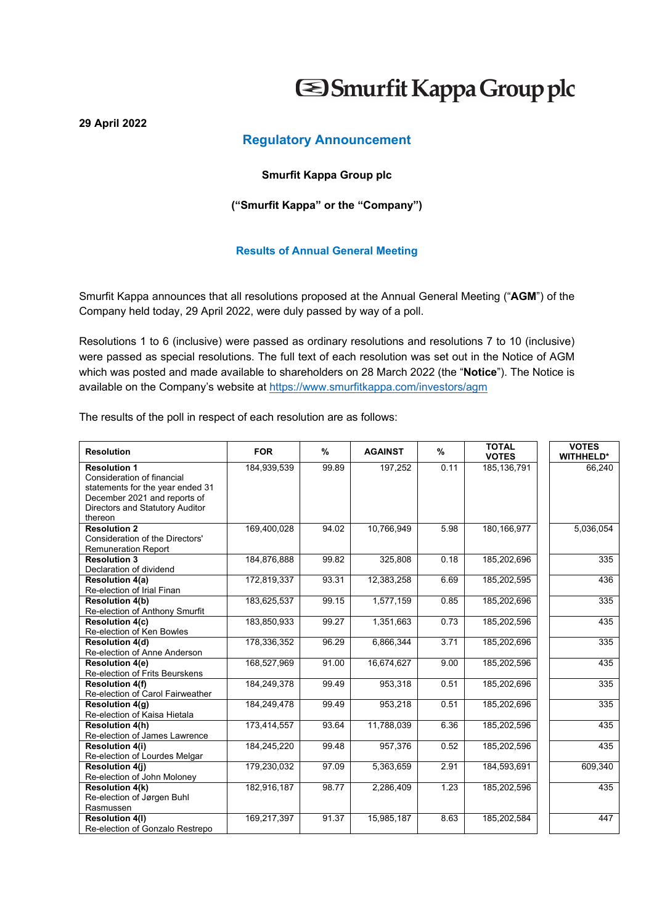# Smurfit Kappa Group plc

## **Regulatory Announcement**

### **Smurfit Kappa Group plc**

### **("Smurfit Kappa" or the "Company")**

### **Results of Annual General Meeting**

Smurfit Kappa announces that all resolutions proposed at the Annual General Meeting ("**AGM**") of the Company held today, 29 April 2022, were duly passed by way of a poll.

Resolutions 1 to 6 (inclusive) were passed as ordinary resolutions and resolutions 7 to 10 (inclusive) were passed as special resolutions. The full text of each resolution was set out in the Notice of AGM which was posted and made available to shareholders on 28 March 2022 (the "**Notice**"). The Notice is available on the Company's website at https://www.smurfitkappa.com/investors/agm

The results of the poll in respect of each resolution are as follows:

**29 April 2022** 

| <b>Resolution</b>                                        | <b>FOR</b>  | %     | <b>AGAINST</b> | %    | <b>TOTAL</b><br><b>VOTES</b> | <b>VOTES</b><br><b>WITHHELD*</b> |
|----------------------------------------------------------|-------------|-------|----------------|------|------------------------------|----------------------------------|
| <b>Resolution 1</b>                                      | 184,939,539 | 99.89 | 197,252        | 0.11 | 185, 136, 791                | 66,240                           |
| Consideration of financial                               |             |       |                |      |                              |                                  |
| statements for the year ended 31                         |             |       |                |      |                              |                                  |
| December 2021 and reports of                             |             |       |                |      |                              |                                  |
| Directors and Statutory Auditor                          |             |       |                |      |                              |                                  |
| thereon                                                  |             |       |                |      |                              |                                  |
| <b>Resolution 2</b>                                      | 169,400,028 | 94.02 | 10,766,949     | 5.98 | 180, 166, 977                | 5,036,054                        |
| Consideration of the Directors'                          |             |       |                |      |                              |                                  |
| <b>Remuneration Report</b>                               |             |       |                |      |                              |                                  |
| <b>Resolution 3</b>                                      | 184,876,888 | 99.82 | 325,808        | 0.18 | 185,202,696                  | 335                              |
| Declaration of dividend                                  |             |       |                |      |                              |                                  |
| <b>Resolution 4(a)</b>                                   | 172,819,337 | 93.31 | 12,383,258     | 6.69 | 185,202,595                  | 436                              |
| Re-election of Irial Finan<br><b>Resolution 4(b)</b>     | 183,625,537 | 99.15 | 1,577,159      | 0.85 | 185,202,696                  | 335                              |
|                                                          |             |       |                |      |                              |                                  |
| Re-election of Anthony Smurfit<br><b>Resolution 4(c)</b> | 183,850,933 | 99.27 | 1,351,663      | 0.73 | 185,202,596                  | 435                              |
| Re-election of Ken Bowles                                |             |       |                |      |                              |                                  |
| <b>Resolution 4(d)</b>                                   | 178,336,352 | 96.29 | 6,866,344      | 3.71 | 185,202,696                  | 335                              |
| Re-election of Anne Anderson                             |             |       |                |      |                              |                                  |
| <b>Resolution 4(e)</b>                                   | 168,527,969 | 91.00 | 16,674,627     | 9.00 | 185,202,596                  | 435                              |
| Re-election of Frits Beurskens                           |             |       |                |      |                              |                                  |
| <b>Resolution 4(f)</b>                                   | 184,249,378 | 99.49 | 953,318        | 0.51 | 185,202,696                  | 335                              |
| Re-election of Carol Fairweather                         |             |       |                |      |                              |                                  |
| Resolution 4(g)                                          | 184,249,478 | 99.49 | 953,218        | 0.51 | 185,202,696                  | 335                              |
| Re-election of Kaisa Hietala                             |             |       |                |      |                              |                                  |
| <b>Resolution 4(h)</b>                                   | 173,414,557 | 93.64 | 11,788,039     | 6.36 | 185,202,596                  | 435                              |
| Re-election of James Lawrence                            |             |       |                |      |                              |                                  |
| <b>Resolution 4(i)</b>                                   | 184,245,220 | 99.48 | 957,376        | 0.52 | 185,202,596                  | 435                              |
| Re-election of Lourdes Melgar                            |             |       |                |      |                              |                                  |
| <b>Resolution 4(i)</b>                                   | 179,230,032 | 97.09 | 5,363,659      | 2.91 | 184,593,691                  | 609,340                          |
| Re-election of John Moloney                              |             |       |                |      |                              |                                  |
| <b>Resolution 4(k)</b>                                   | 182,916,187 | 98.77 | 2,286,409      | 1.23 | 185,202,596                  | 435                              |
| Re-election of Jørgen Buhl                               |             |       |                |      |                              |                                  |
| Rasmussen                                                |             |       |                |      |                              |                                  |
| <b>Resolution 4(I)</b>                                   | 169,217,397 | 91.37 | 15,985,187     | 8.63 | 185,202,584                  | 447                              |
| Re-election of Gonzalo Restrepo                          |             |       |                |      |                              |                                  |